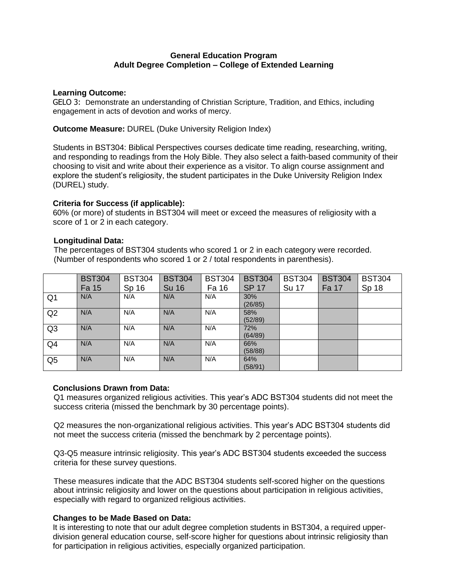### **General Education Program Adult Degree Completion – College of Extended Learning**

#### **Learning Outcome:**

GELO 3: Demonstrate an understanding of Christian Scripture, Tradition, and Ethics, including engagement in acts of devotion and works of mercy.

**Outcome Measure:** DUREL (Duke University Religion Index)

Students in BST304: Biblical Perspectives courses dedicate time reading, researching, writing, and responding to readings from the Holy Bible. They also select a faith-based community of their choosing to visit and write about their experience as a visitor. To align course assignment and explore the student's religiosity, the student participates in the Duke University Religion Index (DUREL) study.

## **Criteria for Success (if applicable):**

60% (or more) of students in BST304 will meet or exceed the measures of religiosity with a score of 1 or 2 in each category.

## **Longitudinal Data:**

 The percentages of BST304 students who scored 1 or 2 in each category were recorded. (Number of respondents who scored 1 or 2 / total respondents in parenthesis).

|                | <b>BST304</b> | <b>BST304</b> | <b>BST304</b> | <b>BST304</b> | <b>BST304</b>  | <b>BST304</b> | <b>BST304</b> | <b>BST304</b> |
|----------------|---------------|---------------|---------------|---------------|----------------|---------------|---------------|---------------|
|                | Fa 15         | Sp 16         | <b>Su 16</b>  | Fa 16         | <b>SP 17</b>   | Su 17         | Fa 17         | Sp 18         |
| Q <sub>1</sub> | N/A           | N/A           | N/A           | N/A           | 30%<br>(26/85) |               |               |               |
| Q2             | N/A           | N/A           | N/A           | N/A           | 58%<br>(52/89) |               |               |               |
| Q <sub>3</sub> | N/A           | N/A           | N/A           | N/A           | 72%<br>(64/89) |               |               |               |
| Q4             | N/A           | N/A           | N/A           | N/A           | 66%<br>(58/88) |               |               |               |
| Q <sub>5</sub> | N/A           | N/A           | N/A           | N/A           | 64%<br>(58/91) |               |               |               |

# **Conclusions Drawn from Data:**

Q1 measures organized religious activities. This year's ADC BST304 students did not meet the success criteria (missed the benchmark by 30 percentage points).

Q2 measures the non-organizational religious activities. This year's ADC BST304 students did not meet the success criteria (missed the benchmark by 2 percentage points).

Q3-Q5 measure intrinsic religiosity. This year's ADC BST304 students exceeded the success criteria for these survey questions.

These measures indicate that the ADC BST304 students self-scored higher on the questions about intrinsic religiosity and lower on the questions about participation in religious activities, especially with regard to organized religious activities.

# **Changes to be Made Based on Data:**

It is interesting to note that our adult degree completion students in BST304, a required upperdivision general education course, self-score higher for questions about intrinsic religiosity than for participation in religious activities, especially organized participation.